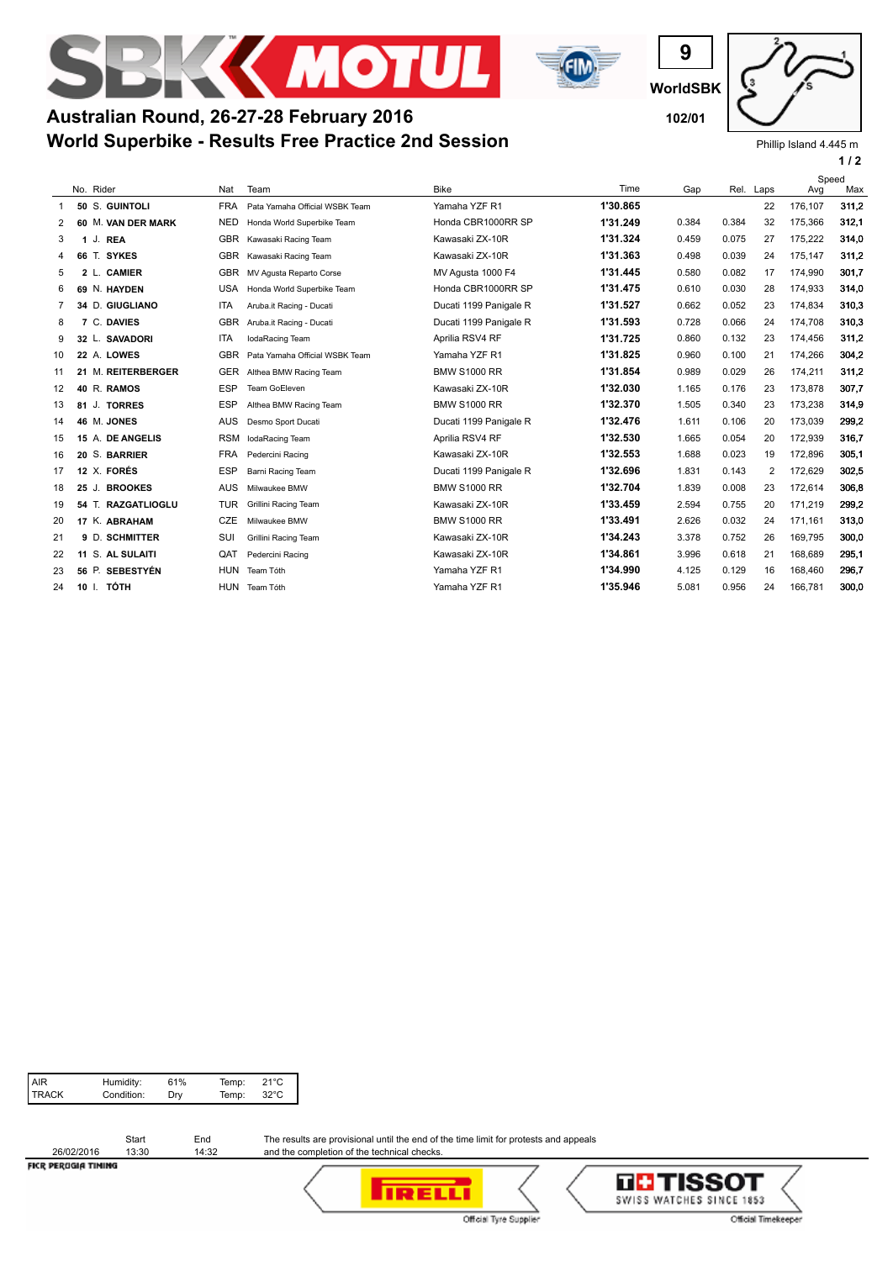



## **World Superbike - Results Free Practice 2nd Session Australian Round, 26-27-28 February 2016 102/01**

**WorldSBK**

**9**

Phillip Island 4.445 m

**1 / 2**

|    |    |       |                    |            |                                |                        |          |       |       |      | Speed   |       |
|----|----|-------|--------------------|------------|--------------------------------|------------------------|----------|-------|-------|------|---------|-------|
|    |    |       | No. Rider          | Nat        | Team                           | <b>Bike</b>            | Time     | Gap   | Rel.  | Laps | Avg     | Max   |
| -1 |    |       | 50 S. GUINTOLI     | <b>FRA</b> | Pata Yamaha Official WSBK Team | Yamaha YZF R1          | 1'30.865 |       |       | 22   | 176.107 | 311,2 |
| 2  |    |       | 60 M. VAN DER MARK | <b>NED</b> | Honda World Superbike Team     | Honda CBR1000RR SP     | 1'31.249 | 0.384 | 0.384 | 32   | 175,366 | 312,1 |
| 3  |    |       | 1 J. REA           | <b>GBR</b> | Kawasaki Racing Team           | Kawasaki ZX-10R        | 1'31.324 | 0.459 | 0.075 | 27   | 175,222 | 314,0 |
| 4  | 66 |       | T. SYKES           | <b>GBR</b> | Kawasaki Racing Team           | Kawasaki ZX-10R        | 1'31.363 | 0.498 | 0.039 | 24   | 175,147 | 311,2 |
| 5  |    |       | 2 L. CAMIER        | <b>GBR</b> | MV Agusta Reparto Corse        | MV Agusta 1000 F4      | 1'31.445 | 0.580 | 0.082 | 17   | 174,990 | 301,7 |
| 6  |    |       | 69 N. HAYDEN       | <b>USA</b> | Honda World Superbike Team     | Honda CBR1000RR SP     | 1'31.475 | 0.610 | 0.030 | 28   | 174,933 | 314,0 |
| 7  |    |       | 34 D. GIUGLIANO    | <b>ITA</b> | Aruba.it Racing - Ducati       | Ducati 1199 Panigale R | 1'31.527 | 0.662 | 0.052 | 23   | 174.834 | 310.3 |
| 8  |    |       | 7 C. DAVIES        | <b>GBR</b> | Aruba.it Racing - Ducati       | Ducati 1199 Panigale R | 1'31.593 | 0.728 | 0.066 | 24   | 174,708 | 310,3 |
| 9  |    |       | 32 L. SAVADORI     | <b>ITA</b> | IodaRacing Team                | Aprilia RSV4 RF        | 1'31.725 | 0.860 | 0.132 | 23   | 174,456 | 311,2 |
| 10 |    |       | 22 A. LOWES        | <b>GBR</b> | Pata Yamaha Official WSBK Team | Yamaha YZF R1          | 1'31.825 | 0.960 | 0.100 | 21   | 174,266 | 304.2 |
| 11 |    |       | 21 M. REITERBERGER | GER        | Althea BMW Racing Team         | <b>BMW S1000 RR</b>    | 1'31.854 | 0.989 | 0.029 | 26   | 174,211 | 311,2 |
| 12 |    |       | 40 R. RAMOS        | <b>ESP</b> | Team GoEleven                  | Kawasaki ZX-10R        | 1'32.030 | 1.165 | 0.176 | 23   | 173,878 | 307,7 |
| 13 | 81 |       | J. TORRES          | <b>ESP</b> | Althea BMW Racing Team         | <b>BMW S1000 RR</b>    | 1'32.370 | 1.505 | 0.340 | 23   | 173,238 | 314,9 |
| 14 |    |       | 46 M. JONES        | <b>AUS</b> | Desmo Sport Ducati             | Ducati 1199 Panigale R | 1'32.476 | 1.611 | 0.106 | 20   | 173,039 | 299.2 |
| 15 |    |       | 15 A. DE ANGELIS   | <b>RSM</b> | IodaRacing Team                | Aprilia RSV4 RF        | 1'32.530 | 1.665 | 0.054 | 20   | 172.939 | 316,7 |
| 16 | 20 |       | S. BARRIER         | <b>FRA</b> | Pedercini Racing               | Kawasaki ZX-10R        | 1'32.553 | 1.688 | 0.023 | 19   | 172,896 | 305,1 |
| 17 |    |       | 12 X. FORÉS        | <b>ESP</b> | Barni Racing Team              | Ducati 1199 Panigale R | 1'32.696 | 1.831 | 0.143 | 2    | 172,629 | 302.5 |
| 18 | 25 | J.    | <b>BROOKES</b>     | <b>AUS</b> | Milwaukee BMW                  | <b>BMW S1000 RR</b>    | 1'32.704 | 1.839 | 0.008 | 23   | 172,614 | 306,8 |
| 19 |    |       | 54 T. RAZGATLIOGLU | <b>TUR</b> | Grillini Racing Team           | Kawasaki ZX-10R        | 1'33.459 | 2.594 | 0.755 | 20   | 171,219 | 299.2 |
| 20 |    |       | 17 K. ABRAHAM      | <b>CZE</b> | Milwaukee BMW                  | <b>BMW S1000 RR</b>    | 1'33.491 | 2.626 | 0.032 | 24   | 171.161 | 313,0 |
| 21 |    |       | 9 D. SCHMITTER     | SUI        | Grillini Racing Team           | Kawasaki ZX-10R        | 1'34.243 | 3.378 | 0.752 | 26   | 169,795 | 300.0 |
| 22 | 11 |       | S. AL SULAITI      | QAT        | Pedercini Racing               | Kawasaki ZX-10R        | 1'34.861 | 3.996 | 0.618 | 21   | 168,689 | 295,1 |
| 23 |    | 56 P. | <b>SEBESTYÉN</b>   | <b>HUN</b> | Team Tóth                      | Yamaha YZF R1          | 1'34.990 | 4.125 | 0.129 | 16   | 168,460 | 296,7 |
| 24 |    |       | 10 I. TÓTH         | <b>HUN</b> | Team Tóth                      | Yamaha YZF R1          | 1'35.946 | 5.081 | 0.956 | 24   | 166,781 | 300,0 |

| AIR<br>TRACK<br>Humidity:<br>Condition: | 61%<br>Dry | Temp:<br>Temp: | 21°C<br>32°C |
|-----------------------------------------|------------|----------------|--------------|
|-----------------------------------------|------------|----------------|--------------|

|                      | Start | End   |
|----------------------|-------|-------|
| 26/02/2016           | 13:30 | 14:32 |
| ELED DEDUCTA TILINAS |       |       |

The results are provisional until the end of the time limit for protests and appeals and the completion of the technical checks.